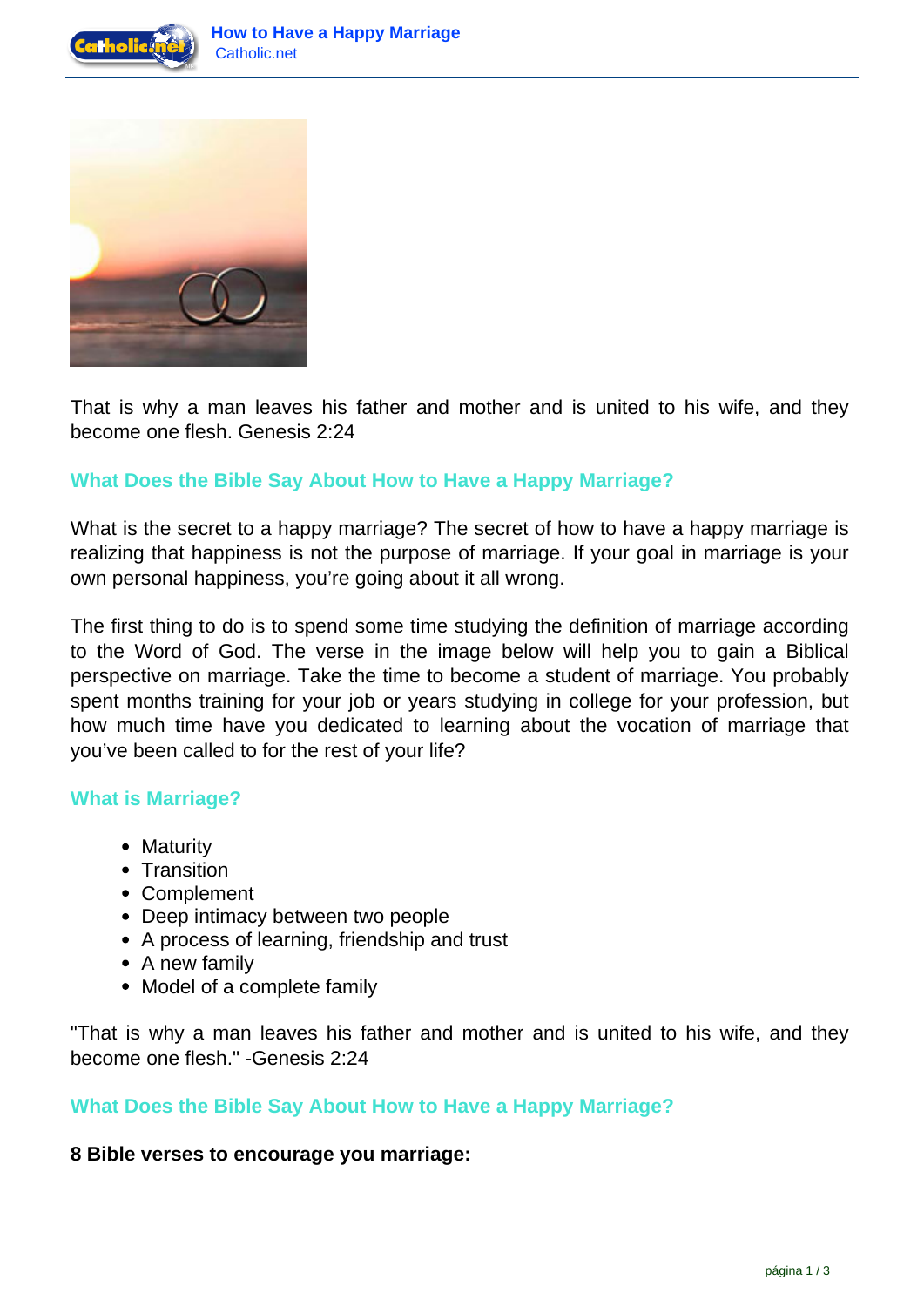



That is why a man leaves his father and mother and is united to his wife, and they become one flesh. Genesis 2:24

# **What Does the Bible Say About How to Have a Happy Marriage?**

What is the secret to a happy marriage? The secret of how to have a happy marriage is realizing that happiness is not the purpose of marriage. If your goal in marriage is your own personal happiness, you're going about it all wrong.

The first thing to do is to spend some time studying the definition of marriage according to the Word of God. The verse in the image below will help you to gain a Biblical perspective on marriage. Take the time to become a student of marriage. You probably spent months training for your job or years studying in college for your profession, but how much time have you dedicated to learning about the vocation of marriage that you've been called to for the rest of your life?

## **What is Marriage?**

- Maturity
- Transition
- Complement
- Deep intimacy between two people
- A process of learning, friendship and trust
- A new family
- Model of a complete family

"That is why a man leaves his father and mother and is united to his wife, and they become one flesh." -Genesis 2:24

# **What Does the Bible Say About How to Have a Happy Marriage?**

## **8 Bible verses to encourage you marriage:**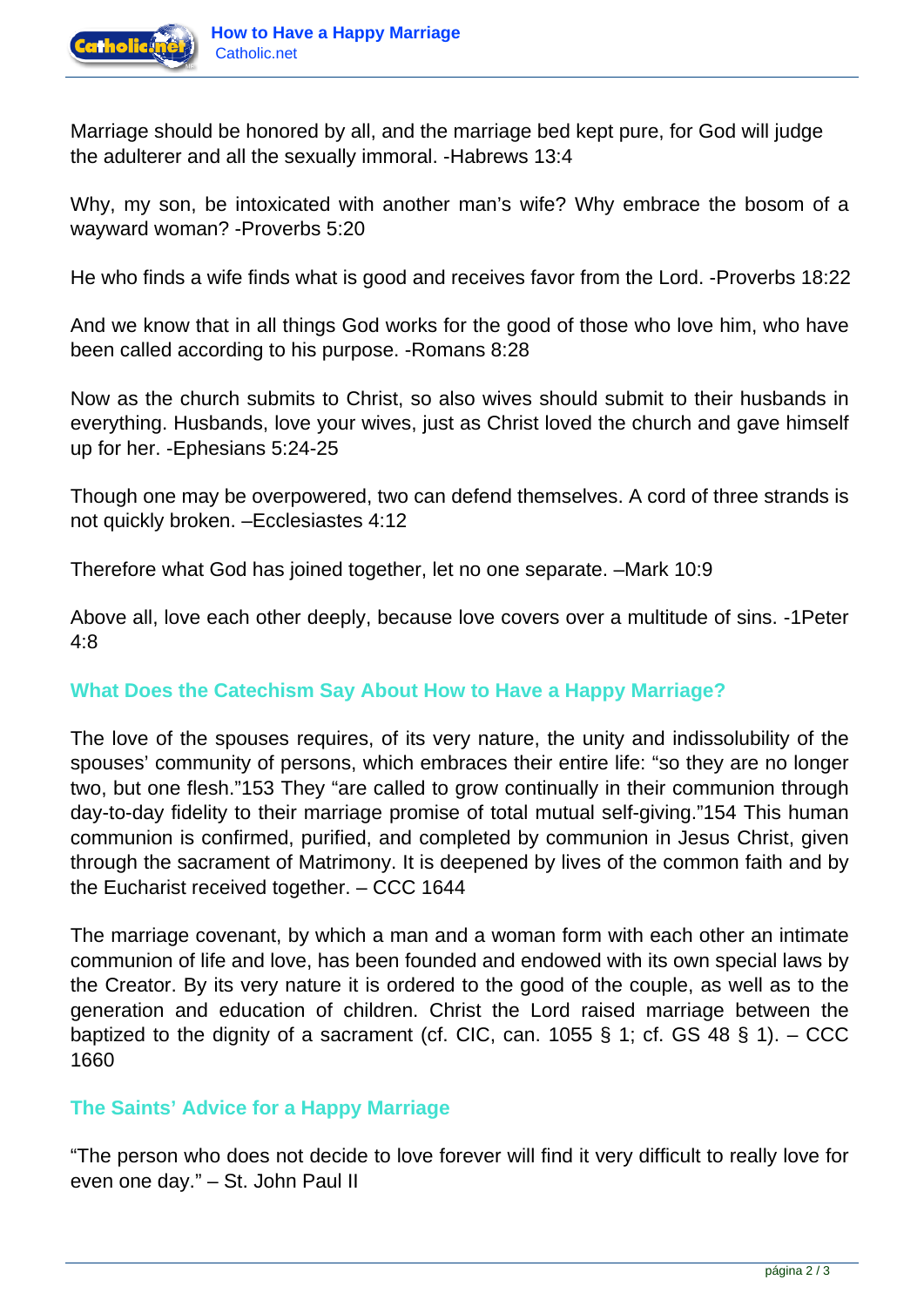

Marriage should be honored by all, and the marriage bed kept pure, for God will judge the adulterer and all the sexually immoral. -Habrews 13:4

Why, my son, be intoxicated with another man's wife? Why embrace the bosom of a wayward woman? -Proverbs 5:20

He who finds a wife finds what is good and receives favor from the Lord. -Proverbs 18:22

And we know that in all things God works for the good of those who love him, who have been called according to his purpose. -Romans 8:28

Now as the church submits to Christ, so also wives should submit to their husbands in everything. Husbands, love your wives, just as Christ loved the church and gave himself up for her. -Ephesians 5:24-25

Though one may be overpowered, two can defend themselves. A cord of three strands is not quickly broken. –Ecclesiastes 4:12

Therefore what God has joined together, let no one separate. –Mark 10:9

Above all, love each other deeply, because love covers over a multitude of sins. -1Peter 4:8

# **What Does the Catechism Say About How to Have a Happy Marriage?**

The love of the spouses requires, of its very nature, the unity and indissolubility of the spouses' community of persons, which embraces their entire life: "so they are no longer two, but one flesh."153 They "are called to grow continually in their communion through day-to-day fidelity to their marriage promise of total mutual self-giving."154 This human communion is confirmed, purified, and completed by communion in Jesus Christ, given through the sacrament of Matrimony. It is deepened by lives of the common faith and by the Eucharist received together. – CCC 1644

The marriage covenant, by which a man and a woman form with each other an intimate communion of life and love, has been founded and endowed with its own special laws by the Creator. By its very nature it is ordered to the good of the couple, as well as to the generation and education of children. Christ the Lord raised marriage between the baptized to the dignity of a sacrament (cf. CIC, can. 1055 § 1; cf. GS 48 § 1).  $-$  CCC 1660

## **The Saints' Advice for a Happy Marriage**

"The person who does not decide to love forever will find it very difficult to really love for even one day." – St. John Paul II